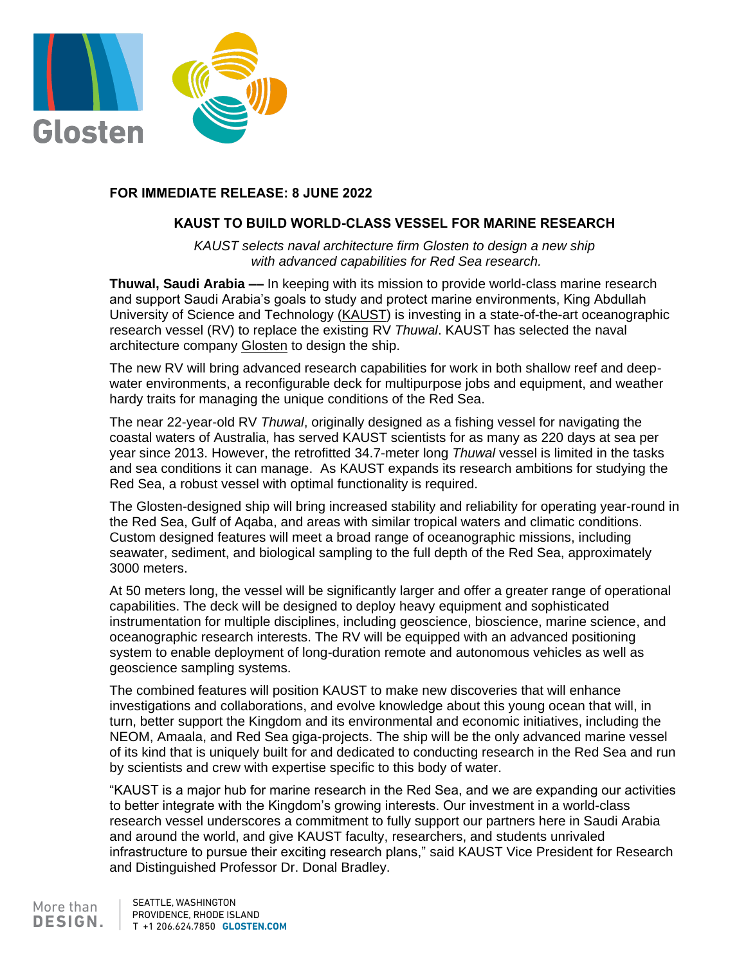

## **FOR IMMEDIATE RELEASE: 8 JUNE 2022**

## **KAUST TO BUILD WORLD-CLASS VESSEL FOR MARINE RESEARCH**

*KAUST selects naval architecture firm Glosten to design a new ship with advanced capabilities for Red Sea research.*

**Thuwal, Saudi Arabia ––** In keeping with its mission to provide world-class marine research and support Saudi Arabia's goals to study and protect marine environments, King Abdullah University of Science and Technology [\(KAUST\)](https://www.kaust.edu.sa/en) is investing in a state-of-the-art oceanographic research vessel (RV) to replace the existing RV *Thuwal*. KAUST has selected the naval architecture company [Glosten](https://glosten.com/) to design the ship.

The new RV will bring advanced research capabilities for work in both shallow reef and deepwater environments, a reconfigurable deck for multipurpose jobs and equipment, and weather hardy traits for managing the unique conditions of the Red Sea.

The near 22-year-old RV *Thuwal*, originally designed as a fishing vessel for navigating the coastal waters of Australia, has served KAUST scientists for as many as 220 days at sea per year since 2013. However, the retrofitted 34.7-meter long *Thuwal* vessel is limited in the tasks and sea conditions it can manage. As KAUST expands its research ambitions for studying the Red Sea, a robust vessel with optimal functionality is required.

The Glosten-designed ship will bring increased stability and reliability for operating year-round in the Red Sea, Gulf of Aqaba, and areas with similar tropical waters and climatic conditions. Custom designed features will meet a broad range of oceanographic missions, including seawater, sediment, and biological sampling to the full depth of the Red Sea, approximately 3000 meters.

At 50 meters long, the vessel will be significantly larger and offer a greater range of operational capabilities. The deck will be designed to deploy heavy equipment and sophisticated instrumentation for multiple disciplines, including geoscience, bioscience, marine science, and oceanographic research interests. The RV will be equipped with an advanced positioning system to enable deployment of long-duration remote and autonomous vehicles as well as geoscience sampling systems.

The combined features will position KAUST to make new discoveries that will enhance investigations and collaborations, and evolve knowledge about this young ocean that will, in turn, better support the Kingdom and its environmental and economic initiatives, including the NEOM, Amaala, and Red Sea giga-projects. The ship will be the only advanced marine vessel of its kind that is uniquely built for and dedicated to conducting research in the Red Sea and run by scientists and crew with expertise specific to this body of water.

"KAUST is a major hub for marine research in the Red Sea, and we are expanding our activities to better integrate with the Kingdom's growing interests. Our investment in a world-class research vessel underscores a commitment to fully support our partners here in Saudi Arabia and around the world, and give KAUST faculty, researchers, and students unrivaled infrastructure to pursue their exciting research plans," said KAUST Vice President for Research and Distinguished Professor Dr. Donal Bradley.